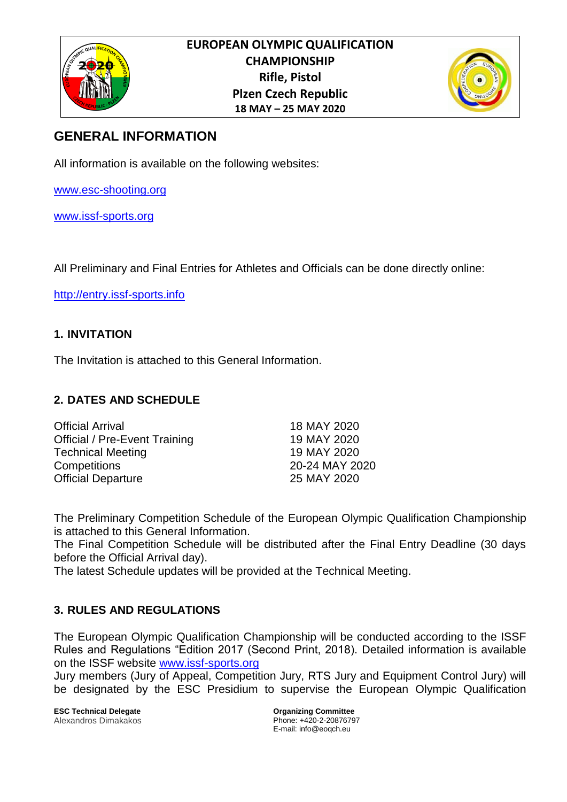



# **GENERAL INFORMATION**

All information is available on the following websites:

www.esc-shooting.org

[www.issf-sports.org](http://www.issf-sports.org/)

All Preliminary and Final Entries for Athletes and Officials can be done directly online:

[http://entry.issf-sports.info](http://entry.issf-sports.info/)

# **1. INVITATION**

The Invitation is attached to this General Information.

# **2. DATES AND SCHEDULE**

| <b>Official Arrival</b>              | 18 MAY 2020    |
|--------------------------------------|----------------|
| <b>Official / Pre-Event Training</b> | 19 MAY 2020    |
| <b>Technical Meeting</b>             | 19 MAY 2020    |
| <b>Competitions</b>                  | 20-24 MAY 2020 |
| <b>Official Departure</b>            | 25 MAY 2020    |

The Preliminary Competition Schedule of the European Olympic Qualification Championship is attached to this General Information.

The Final Competition Schedule will be distributed after the Final Entry Deadline (30 days before the Official Arrival day).

The latest Schedule updates will be provided at the Technical Meeting.

# **3. RULES AND REGULATIONS**

The European Olympic Qualification Championship will be conducted according to the ISSF Rules and Regulations "Edition 2017 (Second Print, 2018). Detailed information is available on the ISSF website [www.issf-sports.org](http://www.issf-sports.org/)

Jury members (Jury of Appeal, Competition Jury, RTS Jury and Equipment Control Jury) will be designated by the ESC Presidium to supervise the European Olympic Qualification

**ESC Technical Delegate** *COMPONER COMMITTEE* **Organizing Committee** Alexandros Dimakakos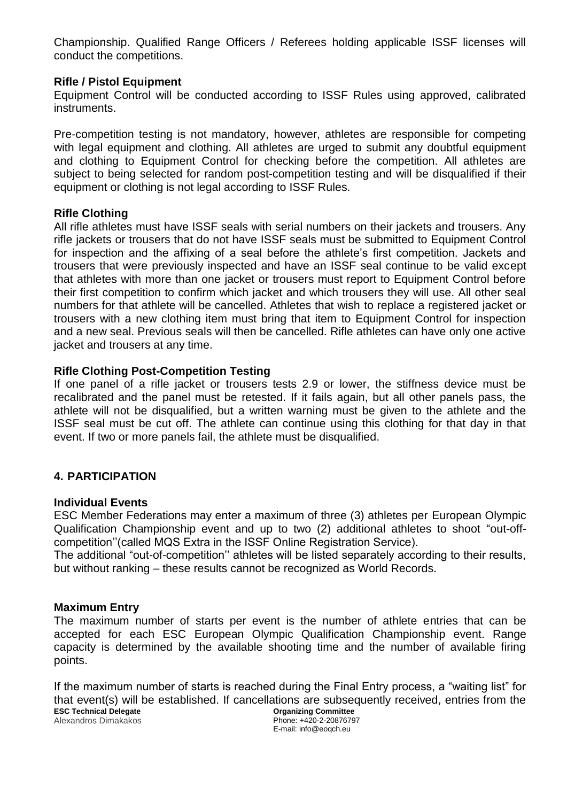Championship. Qualified Range Officers / Referees holding applicable ISSF licenses will conduct the competitions.

### **Rifle / Pistol Equipment**

Equipment Control will be conducted according to ISSF Rules using approved, calibrated instruments.

Pre-competition testing is not mandatory, however, athletes are responsible for competing with legal equipment and clothing. All athletes are urged to submit any doubtful equipment and clothing to Equipment Control for checking before the competition. All athletes are subject to being selected for random post-competition testing and will be disqualified if their equipment or clothing is not legal according to ISSF Rules.

#### **Rifle Clothing**

All rifle athletes must have ISSF seals with serial numbers on their jackets and trousers. Any rifle jackets or trousers that do not have ISSF seals must be submitted to Equipment Control for inspection and the affixing of a seal before the athlete's first competition. Jackets and trousers that were previously inspected and have an ISSF seal continue to be valid except that athletes with more than one jacket or trousers must report to Equipment Control before their first competition to confirm which jacket and which trousers they will use. All other seal numbers for that athlete will be cancelled. Athletes that wish to replace a registered jacket or trousers with a new clothing item must bring that item to Equipment Control for inspection and a new seal. Previous seals will then be cancelled. Rifle athletes can have only one active jacket and trousers at any time.

#### **Rifle Clothing Post-Competition Testing**

If one panel of a rifle jacket or trousers tests 2.9 or lower, the stiffness device must be recalibrated and the panel must be retested. If it fails again, but all other panels pass, the athlete will not be disqualified, but a written warning must be given to the athlete and the ISSF seal must be cut off. The athlete can continue using this clothing for that day in that event. If two or more panels fail, the athlete must be disqualified.

### **4. PARTICIPATION**

#### **Individual Events**

ESC Member Federations may enter a maximum of three (3) athletes per European Olympic Qualification Championship event and up to two (2) additional athletes to shoot "out-offcompetition''(called MQS Extra in the ISSF Online Registration Service).

The additional "out-of-competition'' athletes will be listed separately according to their results, but without ranking – these results cannot be recognized as World Records.

#### **Maximum Entry**

The maximum number of starts per event is the number of athlete entries that can be accepted for each ESC European Olympic Qualification Championship event. Range capacity is determined by the available shooting time and the number of available firing points.

**ESC Technical Delegate Organizing Committee** Phone: +420-2-20876797 Alexandros Dimakakos If the maximum number of starts is reached during the Final Entry process, a "waiting list" for that event(s) will be established. If cancellations are subsequently received, entries from the

E-mail: info@eoqch.eu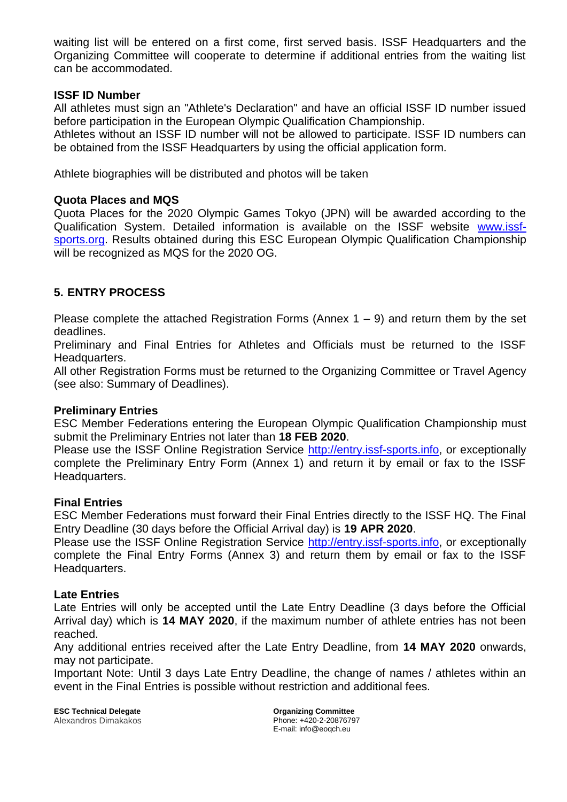waiting list will be entered on a first come, first served basis. ISSF Headquarters and the Organizing Committee will cooperate to determine if additional entries from the waiting list can be accommodated.

#### **ISSF ID Number**

All athletes must sign an "Athlete's Declaration" and have an official ISSF ID number issued before participation in the European Olympic Qualification Championship.

Athletes without an ISSF ID number will not be allowed to participate. ISSF ID numbers can be obtained from the ISSF Headquarters by using the official application form.

Athlete biographies will be distributed and photos will be taken

#### **Quota Places and MQS**

Quota Places for the 2020 Olympic Games Tokyo (JPN) will be awarded according to the Qualification System. Detailed information is available on the ISSF website [www.issf](http://www.issf-sports.org/)[sports.org.](http://www.issf-sports.org/) Results obtained during this ESC European Olympic Qualification Championship will be recognized as MQS for the 2020 OG.

# **5. ENTRY PROCESS**

Please complete the attached Registration Forms (Annex  $1 - 9$ ) and return them by the set deadlines.

Preliminary and Final Entries for Athletes and Officials must be returned to the ISSF Headquarters.

All other Registration Forms must be returned to the Organizing Committee or Travel Agency (see also: Summary of Deadlines).

#### **Preliminary Entries**

ESC Member Federations entering the European Olympic Qualification Championship must submit the Preliminary Entries not later than **18 FEB 2020**.

Please use the ISSF Online Registration Service [http://entry.issf-sports.info,](http://entry.issf-sports.info/) or exceptionally complete the Preliminary Entry Form (Annex 1) and return it by email or fax to the ISSF Headquarters.

#### **Final Entries**

ESC Member Federations must forward their Final Entries directly to the ISSF HQ. The Final Entry Deadline (30 days before the Official Arrival day) is **19 APR 2020**.

Please use the ISSF Online Registration Service [http://entry.issf-sports.info,](http://entry.issf-sports.info/) or exceptionally complete the Final Entry Forms (Annex 3) and return them by email or fax to the ISSF Headquarters.

#### **Late Entries**

Late Entries will only be accepted until the Late Entry Deadline (3 days before the Official Arrival day) which is **14 MAY 2020**, if the maximum number of athlete entries has not been reached.

Any additional entries received after the Late Entry Deadline, from **14 MAY 2020** onwards, may not participate.

Important Note: Until 3 days Late Entry Deadline, the change of names / athletes within an event in the Final Entries is possible without restriction and additional fees.

**ESC Technical Delegate Organizing Committee** Alexandros Dimakakos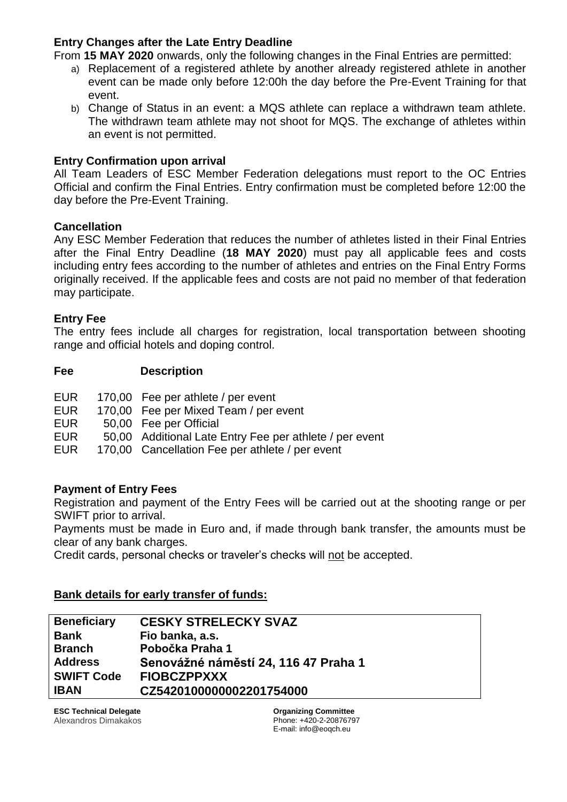### **Entry Changes after the Late Entry Deadline**

From **15 MAY 2020** onwards, only the following changes in the Final Entries are permitted:

- a) Replacement of a registered athlete by another already registered athlete in another event can be made only before 12:00h the day before the Pre-Event Training for that event.
- b) Change of Status in an event: a MQS athlete can replace a withdrawn team athlete. The withdrawn team athlete may not shoot for MQS. The exchange of athletes within an event is not permitted.

### **Entry Confirmation upon arrival**

All Team Leaders of ESC Member Federation delegations must report to the OC Entries Official and confirm the Final Entries. Entry confirmation must be completed before 12:00 the day before the Pre-Event Training.

# **Cancellation**

Any ESC Member Federation that reduces the number of athletes listed in their Final Entries after the Final Entry Deadline (**18 MAY 2020**) must pay all applicable fees and costs including entry fees according to the number of athletes and entries on the Final Entry Forms originally received. If the applicable fees and costs are not paid no member of that federation may participate.

### **Entry Fee**

The entry fees include all charges for registration, local transportation between shooting range and official hotels and doping control.

### **Fee Description**

| <b>EUR</b> | 170,00 Fee per athlete / per event    |
|------------|---------------------------------------|
| EL IR.     | 170.00 Fee per Mixed Team / per event |

- EUR 170,00 Fee per Mixed Team / per event
- EUR 50,00 Fee per Official
- EUR 50,00 Additional Late Entry Fee per athlete / per event
- EUR 170,00 Cancellation Fee per athlete / per event

### **Payment of Entry Fees**

Registration and payment of the Entry Fees will be carried out at the shooting range or per SWIFT prior to arrival.

Payments must be made in Euro and, if made through bank transfer, the amounts must be clear of any bank charges.

Credit cards, personal checks or traveler's checks will not be accepted.

### **Bank details for early transfer of funds:**

| <b>Beneficiary</b> | <b>CESKY STRELECKY SVAZ</b>          |
|--------------------|--------------------------------------|
| <b>Bank</b>        | Fio banka, a.s.                      |
| <b>Branch</b>      | Pobočka Praha 1                      |
| <b>Address</b>     | Senovážné náměstí 24, 116 47 Praha 1 |
| <b>SWIFT Code</b>  | <b>FIOBCZPPXXX</b>                   |
| <b>IBAN</b>        | CZ5420100000002201754000             |
|                    |                                      |

**ESC Technical Delegate Organizing Committee** Alexandros Dimakakos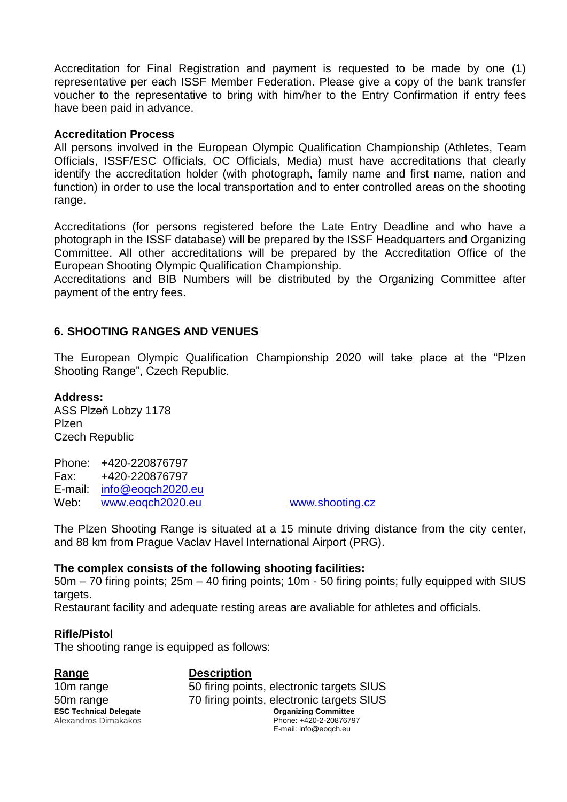Accreditation for Final Registration and payment is requested to be made by one (1) representative per each ISSF Member Federation. Please give a copy of the bank transfer voucher to the representative to bring with him/her to the Entry Confirmation if entry fees have been paid in advance.

#### **Accreditation Process**

All persons involved in the European Olympic Qualification Championship (Athletes, Team Officials, ISSF/ESC Officials, OC Officials, Media) must have accreditations that clearly identify the accreditation holder (with photograph, family name and first name, nation and function) in order to use the local transportation and to enter controlled areas on the shooting range.

Accreditations (for persons registered before the Late Entry Deadline and who have a photograph in the ISSF database) will be prepared by the ISSF Headquarters and Organizing Committee. All other accreditations will be prepared by the Accreditation Office of the European Shooting Olympic Qualification Championship.

Accreditations and BIB Numbers will be distributed by the Organizing Committee after payment of the entry fees.

# **6. SHOOTING RANGES AND VENUES**

The European Olympic Qualification Championship 2020 will take place at the "Plzen Shooting Range", Czech Republic.

#### **Address:**

ASS Plzeň Lobzy 1178 Plzen Czech Republic

Phone: +420-220876797 Fax: +420-220876797 E-mail: [info@eoqch2020.eu](mailto:info@eoqch2020.eu) Web: www.eogch2020.eu [www.shooting.cz](http://www.shooting.cz/)

The Plzen Shooting Range is situated at a 15 minute driving distance from the city center, and 88 km from Prague Vaclav Havel International Airport (PRG).

### **The complex consists of the following shooting facilities:**

50m – 70 firing points; 25m – 40 firing points; 10m - 50 firing points; fully equipped with SIUS targets.

Restaurant facility and adequate resting areas are avaliable for athletes and officials.

### **Rifle/Pistol**

The shooting range is equipped as follows:

Alexandros Dimakakos Range Description

**ESC Technical Delegate Organizing Committee** Phone: +420-2-20876797 E-mail: info@eoqch.eu 10m range 50 firing points, electronic targets SIUS 50m range 70 firing points, electronic targets SIUS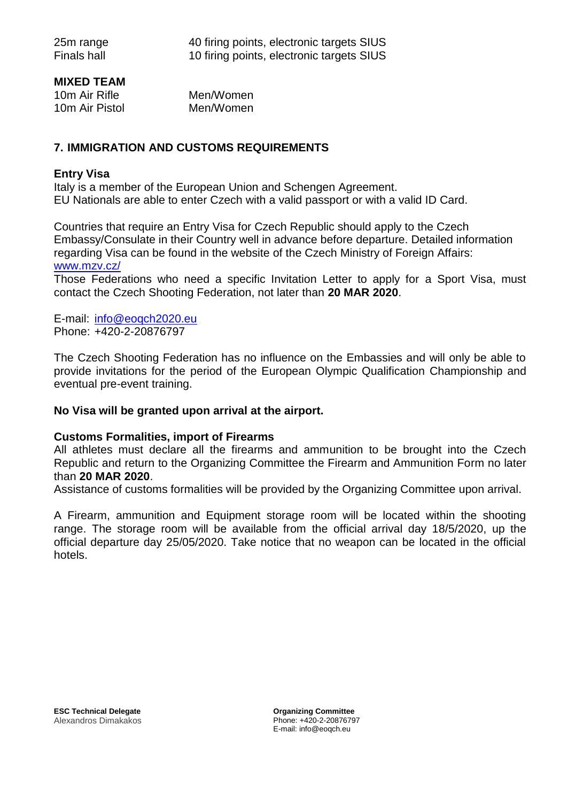### **MIXED TEAM**

| 10m Air Rifle  | Men/Women |
|----------------|-----------|
| 10m Air Pistol | Men/Women |

# **7. IMMIGRATION AND CUSTOMS REQUIREMENTS**

#### **Entry Visa**

Italy is a member of the European Union and Schengen Agreement. EU Nationals are able to enter Czech with a valid passport or with a valid ID Card.

Countries that require an Entry Visa for Czech Republic should apply to the Czech Embassy/Consulate in their Country well in advance before departure. Detailed information regarding Visa can be found in the website of the Czech Ministry of Foreign Affairs: [www.mzv.cz/](http://www.mzv.cz/)

Those Federations who need a specific Invitation Letter to apply for a Sport Visa, must contact the Czech Shooting Federation, not later than **20 MAR 2020**.

E-mail: [info@eoqch2020.eu](mailto:info@eoqch2020.eu) Phone: +420-2-20876797

The Czech Shooting Federation has no influence on the Embassies and will only be able to provide invitations for the period of the European Olympic Qualification Championship and eventual pre-event training.

#### **No Visa will be granted upon arrival at the airport.**

#### **Customs Formalities, import of Firearms**

All athletes must declare all the firearms and ammunition to be brought into the Czech Republic and return to the Organizing Committee the Firearm and Ammunition Form no later than **20 MAR 2020**.

Assistance of customs formalities will be provided by the Organizing Committee upon arrival.

A Firearm, ammunition and Equipment storage room will be located within the shooting range. The storage room will be available from the official arrival day 18/5/2020, up the official departure day 25/05/2020. Take notice that no weapon can be located in the official hotels.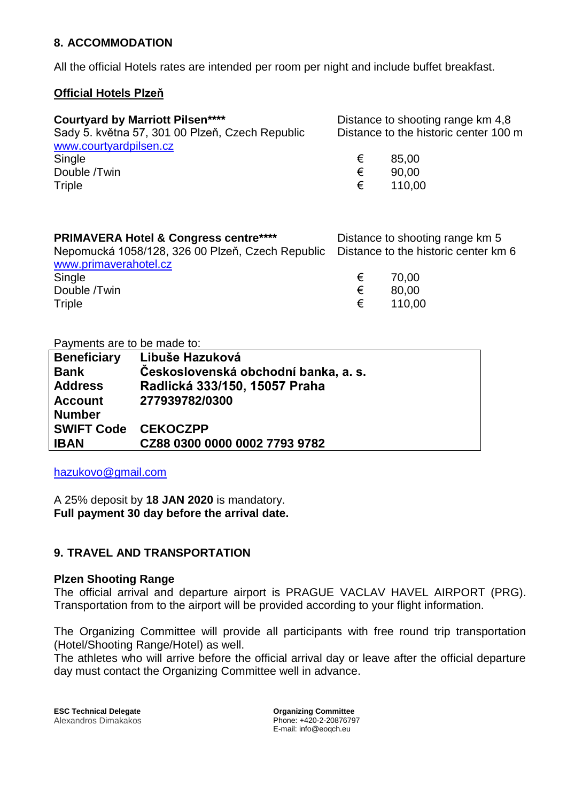# **8. ACCOMMODATION**

All the official Hotels rates are intended per room per night and include buffet breakfast.

### **Official Hotels Plzeň**

| <b>Courtyard by Marriott Pilsen****</b>         |   | Distance to shooting range km 4,8     |
|-------------------------------------------------|---|---------------------------------------|
| Sady 5. května 57, 301 00 Plzeň, Czech Republic |   | Distance to the historic center 100 m |
| www.courtyardpilsen.cz                          |   |                                       |
| Single                                          | € | 85.00                                 |
| Double /Twin                                    | € | 90.00                                 |
| Triple                                          | € | 110,00                                |

| <b>PRIMAVERA Hotel &amp; Congress centre****</b>                                      |   | Distance to shooting range km 5 |
|---------------------------------------------------------------------------------------|---|---------------------------------|
| Nepomucká 1058/128, 326 00 Plzeň, Czech Republic Distance to the historic center km 6 |   |                                 |
| www.primaverahotel.cz                                                                 |   |                                 |
| Single                                                                                | € | 70.00                           |
| Double /Twin                                                                          | € | 80,00                           |
| Triple                                                                                | € | 110.00                          |

Payments are to be made to:

| <b>Beneficiary</b>         | Libuše Hazuková                      |
|----------------------------|--------------------------------------|
| <b>Bank</b>                | Československá obchodní banka, a. s. |
| <b>Address</b>             | Radlická 333/150, 15057 Praha        |
| <b>Account</b>             | 277939782/0300                       |
| <b>Number</b>              |                                      |
| <b>SWIFT Code CEKOCZPP</b> |                                      |
| <b>IBAN</b>                | CZ88 0300 0000 0002 7793 9782        |

[hazukovo@gmail.com](mailto:hazukovo@gmail.com)

A 25% deposit by **18 JAN 2020** is mandatory. **Full payment 30 day before the arrival date.**

# **9. TRAVEL AND TRANSPORTATION**

#### **Plzen Shooting Range**

The official arrival and departure airport is PRAGUE VACLAV HAVEL AIRPORT (PRG). Transportation from to the airport will be provided according to your flight information.

The Organizing Committee will provide all participants with free round trip transportation (Hotel/Shooting Range/Hotel) as well.

The athletes who will arrive before the official arrival day or leave after the official departure day must contact the Organizing Committee well in advance.

**ESC Technical Delegate** *COMPONER COMMITTEE* **Organizing Committee** Alexandros Dimakakos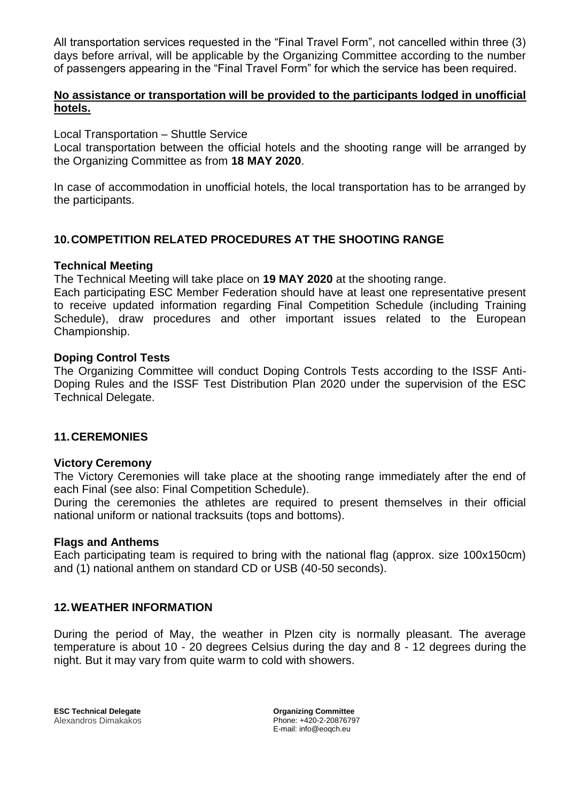All transportation services requested in the "Final Travel Form", not cancelled within three (3) days before arrival, will be applicable by the Organizing Committee according to the number of passengers appearing in the "Final Travel Form" for which the service has been required.

# **No assistance or transportation will be provided to the participants lodged in unofficial hotels.**

Local Transportation – Shuttle Service

Local transportation between the official hotels and the shooting range will be arranged by the Organizing Committee as from **18 MAY 2020**.

In case of accommodation in unofficial hotels, the local transportation has to be arranged by the participants.

# **10.COMPETITION RELATED PROCEDURES AT THE SHOOTING RANGE**

### **Technical Meeting**

The Technical Meeting will take place on **19 MAY 2020** at the shooting range.

Each participating ESC Member Federation should have at least one representative present to receive updated information regarding Final Competition Schedule (including Training Schedule), draw procedures and other important issues related to the European Championship.

### **Doping Control Tests**

The Organizing Committee will conduct Doping Controls Tests according to the ISSF Anti-Doping Rules and the ISSF Test Distribution Plan 2020 under the supervision of the ESC Technical Delegate.

### **11.CEREMONIES**

#### **Victory Ceremony**

The Victory Ceremonies will take place at the shooting range immediately after the end of each Final (see also: Final Competition Schedule).

During the ceremonies the athletes are required to present themselves in their official national uniform or national tracksuits (tops and bottoms).

#### **Flags and Anthems**

Each participating team is required to bring with the national flag (approx. size 100x150cm) and (1) national anthem on standard CD or USB (40-50 seconds).

### **12.WEATHER INFORMATION**

During the period of May, the weather in Plzen city is normally pleasant. The average temperature is about 10 - 20 degrees Celsius during the day and 8 - 12 degrees during the night. But it may vary from quite warm to cold with showers.

**ESC Technical Delegate Organizing Committee** Alexandros Dimakakos